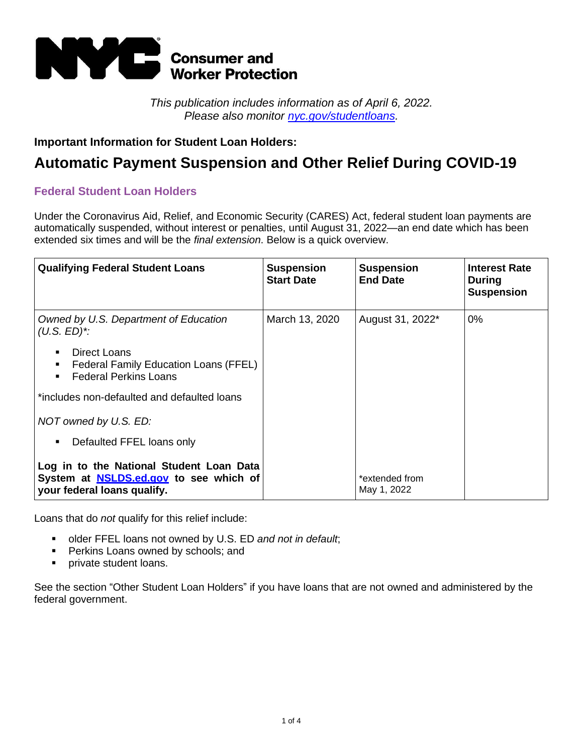

*This publication includes information as of April 6, 2022. Please also monitor [nyc.gov/studentloans.](https://www1.nyc.gov/site/dca/consumers/Student-Loans.page)*

# **Important Information for Student Loan Holders:**

# **Automatic Payment Suspension and Other Relief During COVID-19**

# **Federal Student Loan Holders**

Under the Coronavirus Aid, Relief, and Economic Security (CARES) Act, federal student loan payments are automatically suspended, without interest or penalties, until August 31, 2022—an end date which has been extended six times and will be the *final extension*. Below is a quick overview.

| <b>Qualifying Federal Student Loans</b>                                                                                        | <b>Suspension</b><br><b>Start Date</b> | <b>Suspension</b><br><b>End Date</b> | <b>Interest Rate</b><br><b>During</b><br><b>Suspension</b> |
|--------------------------------------------------------------------------------------------------------------------------------|----------------------------------------|--------------------------------------|------------------------------------------------------------|
| Owned by U.S. Department of Education<br>$(U.S. ED)^*$                                                                         | March 13, 2020                         | August 31, 2022 <sup>*</sup>         | $0\%$                                                      |
| Direct Loans<br>$\blacksquare$<br>Federal Family Education Loans (FFEL)<br>٠<br><b>Federal Perkins Loans</b><br>$\blacksquare$ |                                        |                                      |                                                            |
| *includes non-defaulted and defaulted loans                                                                                    |                                        |                                      |                                                            |
| NOT owned by U.S. ED:                                                                                                          |                                        |                                      |                                                            |
| Defaulted FFEL loans only<br>٠                                                                                                 |                                        |                                      |                                                            |
| Log in to the National Student Loan Data<br>System at <b>NSLDS.ed.gov</b> to see which of<br>your federal loans qualify.       |                                        | *extended from<br>May 1, 2022        |                                                            |

Loans that do *not* qualify for this relief include:

- older FFEL loans not owned by U.S. ED *and not in default*;
- **Perkins Loans owned by schools; and**
- **•** private student loans.

See the section "Other Student Loan Holders" if you have loans that are not owned and administered by the federal government.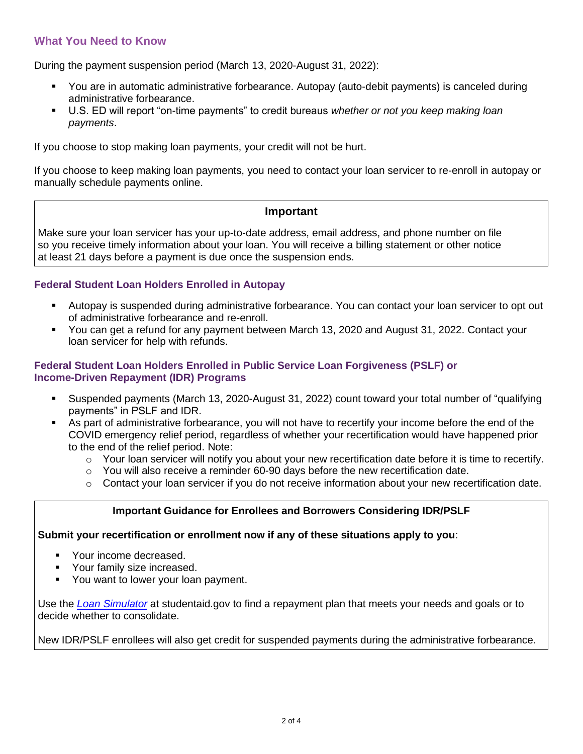# **What You Need to Know**

During the payment suspension period (March 13, 2020-August 31, 2022):

- You are in automatic administrative forbearance. Autopay (auto-debit payments) is canceled during administrative forbearance.
- U.S. ED will report "on-time payments" to credit bureaus *whether or not you keep making loan payments*.

If you choose to stop making loan payments, your credit will not be hurt.

If you choose to keep making loan payments, you need to contact your loan servicer to re-enroll in autopay or manually schedule payments online.

# **Important**

Make sure your loan servicer has your up-to-date address, email address, and phone number on file so you receive timely information about your loan. You will receive a billing statement or other notice at least 21 days before a payment is due once the suspension ends.

# **Federal Student Loan Holders Enrolled in Autopay**

- Autopay is suspended during administrative forbearance. You can contact your loan servicer to opt out of administrative forbearance and re-enroll.
- You can get a refund for any payment between March 13, 2020 and August 31, 2022. Contact your loan servicer for help with refunds.

# **Federal Student Loan Holders Enrolled in Public Service Loan Forgiveness (PSLF) or Income-Driven Repayment (IDR) Programs**

- Suspended payments (March 13, 2020-August 31, 2022) count toward your total number of "qualifying payments" in PSLF and IDR.
- As part of administrative forbearance, you will not have to recertify your income before the end of the COVID emergency relief period, regardless of whether your recertification would have happened prior to the end of the relief period. Note:
	- $\circ$  Your loan servicer will notify you about your new recertification date before it is time to recertify.
	- $\circ$  You will also receive a reminder 60-90 days before the new recertification date.
	- $\circ$  Contact your loan servicer if you do not receive information about your new recertification date.

# **Important Guidance for Enrollees and Borrowers Considering IDR/PSLF**

#### **Submit your recertification or enrollment now if any of these situations apply to you**:

- Your income decreased.
- Your family size increased.
- You want to lower your loan payment.

Use the *[Loan Simulator](https://studentaid.gov/loan-simulator/)* at studentaid.gov to find a repayment plan that meets your needs and goals or to decide whether to consolidate.

New IDR/PSLF enrollees will also get credit for suspended payments during the administrative forbearance.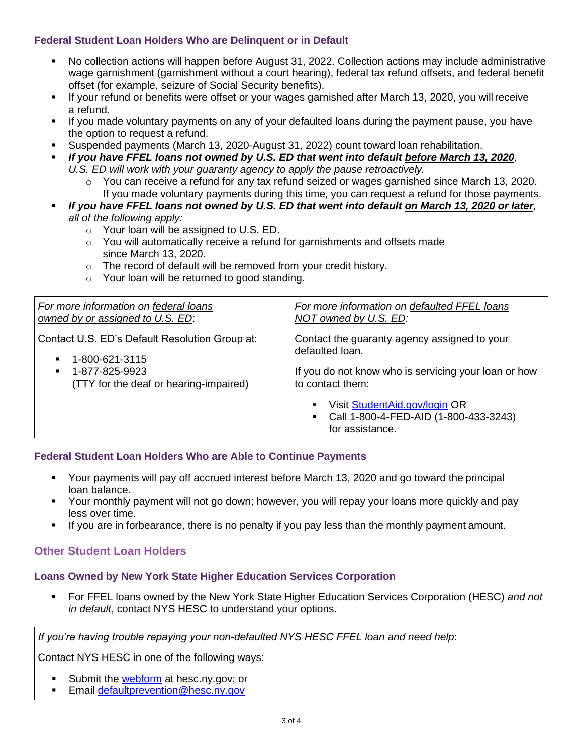# **Federal Student Loan Holders Who are Delinquent or in Default**

- No collection actions will happen before August 31, 2022. Collection actions may include administrative wage garnishment (garnishment without a court hearing), federal tax refund offsets, and federal benefit offset (for example, seizure of Social Security benefits).
- If your refund or benefits were offset or your wages garnished after March 13, 2020, you willreceive a refund.
- If you made voluntary payments on any of your defaulted loans during the payment pause, you have the option to request a refund.
- Suspended payments (March 13, 2020-August 31, 2022) count toward loan rehabilitation.
- *If you have FFEL loans not owned by U.S. ED that went into default before March 13, 2020, U.S. ED will work with your guaranty agency to apply the pause retroactively.*
	- $\circ$  You can receive a refund for any tax refund seized or wages garnished since March 13, 2020. If you made voluntary payments during this time, you can request a refund for those payments.
- *If you have FFEL loans not owned by U.S. ED that went into default on March 13, 2020 or later, all of the following apply:*
	- o Your loan will be assigned to U.S. ED.
	- $\circ$  You will automatically receive a refund for garnishments and offsets made since March 13, 2020.
	- o The record of default will be removed from your credit history.
	- o Your loan will be returned to good standing.

| For more information on federal loans<br>owned by or assigned to U.S. ED:          | For more information on defaulted FFEL loans<br>NOT owned by U.S. ED:                     |
|------------------------------------------------------------------------------------|-------------------------------------------------------------------------------------------|
| Contact U.S. ED's Default Resolution Group at:<br>1-800-621-3115<br>$\blacksquare$ | Contact the guaranty agency assigned to your<br>defaulted loan.                           |
| 1-877-825-9923<br>$\blacksquare$<br>(TTY for the deaf or hearing-impaired)         | If you do not know who is servicing your loan or how<br>to contact them:                  |
|                                                                                    | Visit StudentAid.gov/login OR<br>Call 1-800-4-FED-AID (1-800-433-3243)<br>for assistance. |

# **Federal Student Loan Holders Who are Able to Continue Payments**

- Your payments will pay off accrued interest before March 13, 2020 and go toward the principal loan balance.
- Your monthly payment will not go down; however, you will repay your loans more quickly and pay less over time.
- If you are in forbearance, there is no penalty if you pay less than the monthly payment amount.

# **Other Student Loan Holders**

# **Loans Owned by New York State Higher Education Services Corporation**

▪ For FFEL loans owned by the New York State Higher Education Services Corporation (HESC) *and not in default*, contact NYS HESC to understand your options.

*If you're having trouble repaying your non-defaulted NYS HESC FFEL loan and need help*:

Contact NYS HESC in one of the following ways:

- Submit the [webform](https://www.hesc.ny.gov/coronavirus/hesc-loans-webform) at hesc.ny.gov; or
- **Email [defaultprevention@hesc.ny.gov](mailto:defaultprevention@hesc.ny.gov)**